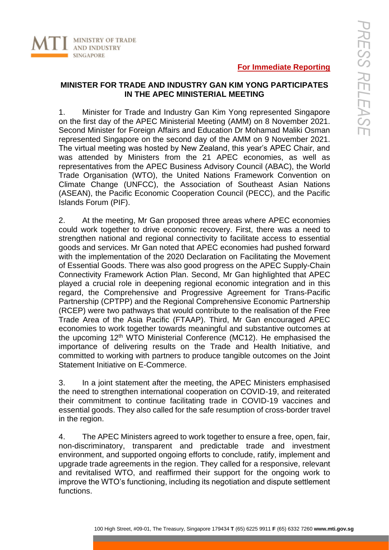## **For Immediate Reporting**

## **MINISTER FOR TRADE AND INDUSTRY GAN KIM YONG PARTICIPATES IN THE APEC MINISTERIAL MEETING**

1. Minister for Trade and Industry Gan Kim Yong represented Singapore on the first day of the APEC Ministerial Meeting (AMM) on 8 November 2021. Second Minister for Foreign Affairs and Education Dr Mohamad Maliki Osman represented Singapore on the second day of the AMM on 9 November 2021. The virtual meeting was hosted by New Zealand, this year's APEC Chair, and was attended by Ministers from the 21 APEC economies, as well as representatives from the APEC Business Advisory Council (ABAC), the World Trade Organisation (WTO), the United Nations Framework Convention on Climate Change (UNFCC), the Association of Southeast Asian Nations (ASEAN), the Pacific Economic Cooperation Council (PECC), and the Pacific Islands Forum (PIF).

2. At the meeting, Mr Gan proposed three areas where APEC economies could work together to drive economic recovery. First, there was a need to strengthen national and regional connectivity to facilitate access to essential goods and services. Mr Gan noted that APEC economies had pushed forward with the implementation of the 2020 Declaration on Facilitating the Movement of Essential Goods. There was also good progress on the APEC Supply-Chain Connectivity Framework Action Plan. Second, Mr Gan highlighted that APEC played a crucial role in deepening regional economic integration and in this regard, the Comprehensive and Progressive Agreement for Trans-Pacific Partnership (CPTPP) and the Regional Comprehensive Economic Partnership (RCEP) were two pathways that would contribute to the realisation of the Free Trade Area of the Asia Pacific (FTAAP). Third, Mr Gan encouraged APEC economies to work together towards meaningful and substantive outcomes at the upcoming 12<sup>th</sup> WTO Ministerial Conference (MC12). He emphasised the importance of delivering results on the Trade and Health Initiative, and committed to working with partners to produce tangible outcomes on the Joint Statement Initiative on E-Commerce.

3. In a joint statement after the meeting, the APEC Ministers emphasised the need to strengthen international cooperation on COVID-19, and reiterated their commitment to continue facilitating trade in COVID-19 vaccines and essential goods. They also called for the safe resumption of cross-border travel in the region.

4. The APEC Ministers agreed to work together to ensure a free, open, fair, non-discriminatory, transparent and predictable trade and investment environment, and supported ongoing efforts to conclude, ratify, implement and upgrade trade agreements in the region. They called for a responsive, relevant and revitalised WTO, and reaffirmed their support for the ongoing work to improve the WTO's functioning, including its negotiation and dispute settlement functions.